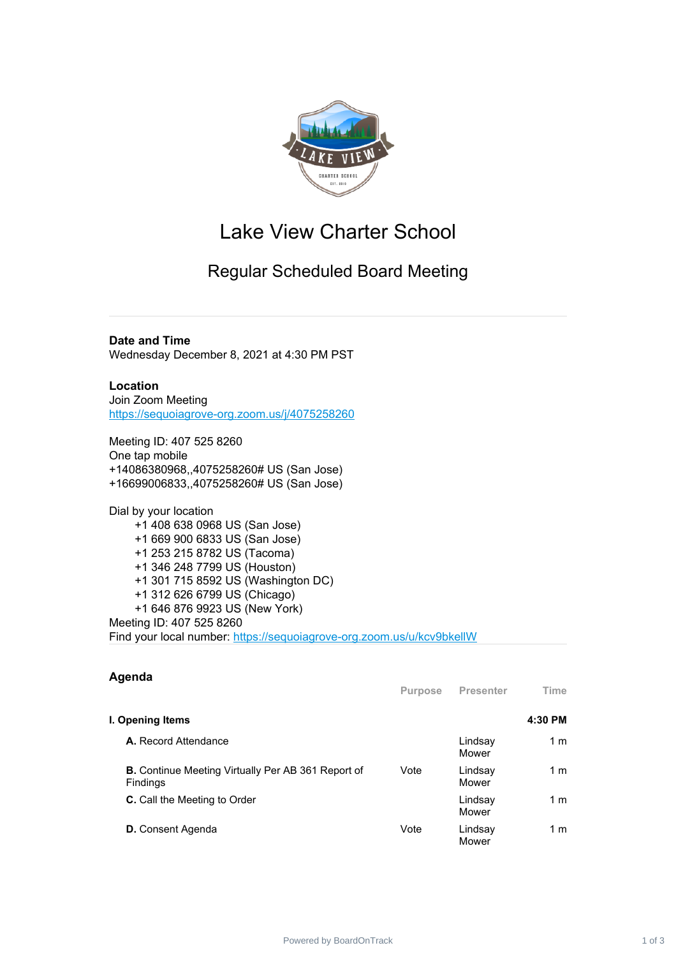

## Lake View Charter School

## Regular Scheduled Board Meeting

**Date and Time** Wednesday December 8, 2021 at 4:30 PM PST

## **Location** Join Zoom Meeting

[https://sequoiagrove-org.zoom.us/j/4075258260](https://www.google.com/url?q=https://sequoiagrove-org.zoom.us/j/4075258260&sa=D&source=calendar&ust=1635092054101858&usg=AOvVaw2R7TmmfkcxJMzI_X4ALB1C)

Meeting ID: 407 525 8260 One tap mobile +14086380968,,4075258260# US (San Jose) +16699006833,,4075258260# US (San Jose)

Dial by your location +1 408 638 0968 US (San Jose) +1 669 900 6833 US (San Jose) +1 253 215 8782 US (Tacoma) +1 346 248 7799 US (Houston) +1 301 715 8592 US (Washington DC) +1 312 626 6799 US (Chicago) +1 646 876 9923 US (New York) Meeting ID: 407 525 8260 Find your local number: [https://sequoiagrove-org.zoom.us/u/kcv9bkellW](https://www.google.com/url?q=https://sequoiagrove-org.zoom.us/u/kcv9bkellW&sa=D&source=calendar&ust=1635092054101858&usg=AOvVaw3NirWxO5fYt1EagoKLbI_V)

| Agenda                                                                | <b>Purpose</b> | Presenter        | <b>Time</b>    |
|-----------------------------------------------------------------------|----------------|------------------|----------------|
|                                                                       |                |                  |                |
| I. Opening Items                                                      |                |                  | 4:30 PM        |
| <b>A.</b> Record Attendance                                           |                | Lindsay<br>Mower | 1 m            |
| <b>B.</b> Continue Meeting Virtually Per AB 361 Report of<br>Findings | Vote           | Lindsay<br>Mower | 1 m            |
| <b>C.</b> Call the Meeting to Order                                   |                | Lindsay<br>Mower | 1 <sub>m</sub> |
| <b>D.</b> Consent Agenda                                              | Vote           | Lindsay<br>Mower | 1 m            |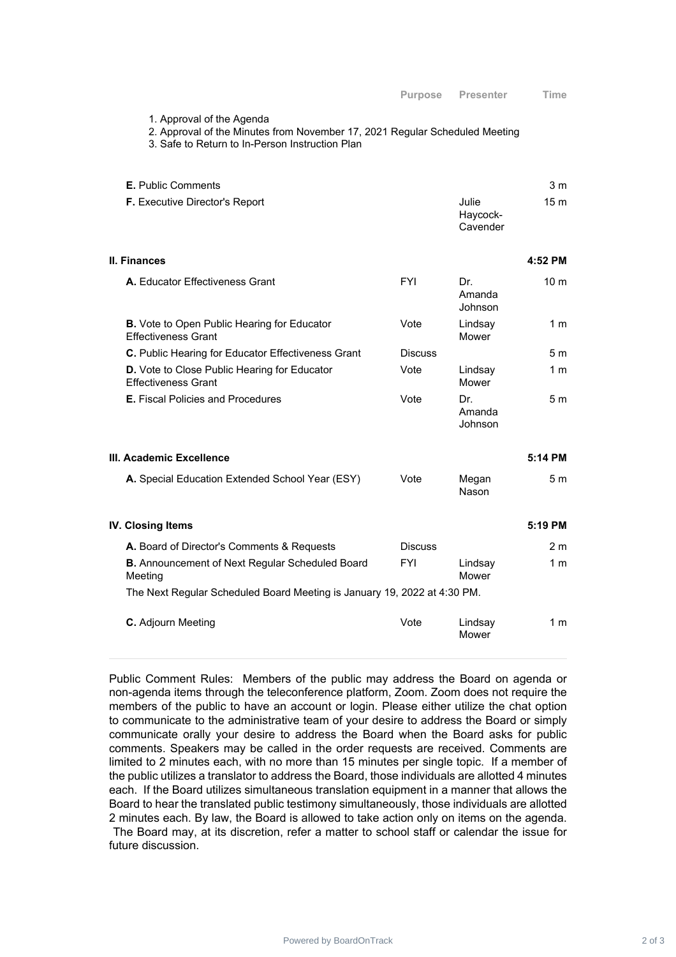1. Approval of the Agenda

2. Approval of the Minutes from November 17, 2021 Regular Scheduled Meeting

3. Safe to Return to In-Person Instruction Plan

| <b>E.</b> Public Comments             |                               | 3 m  |
|---------------------------------------|-------------------------------|------|
| <b>F.</b> Executive Director's Report | Julie<br>Haycock-<br>Cavender | 15 m |

**II. Finances 4:52 PM**

| <b>FYI</b>     | Dr.<br>Amanda<br>Johnson | 10 <sub>m</sub> |
|----------------|--------------------------|-----------------|
| Vote           | Lindsay<br>Mower         | 1 m             |
| <b>Discuss</b> |                          | 5 <sub>m</sub>  |
| Vote           | Lindsay<br>Mower         | 1 m             |
| Vote           | Dr.<br>Amanda<br>Johnson | 5m              |
|                |                          | 5:14 PM         |
| Vote           | Megan<br>Nason           | 5 <sub>m</sub>  |
|                |                          | 5:19 PM         |
| <b>Discuss</b> |                          | 2 m             |
|                |                          |                 |

The Next Regular Scheduled Board Meeting is January 19, 2022 at 4:30 PM.

**B.** Announcement of Next Regular Scheduled Board

Meeting

| <b>C.</b> Adjourn Meeting | Vote | Lindsay<br>Mower | 1 m |
|---------------------------|------|------------------|-----|
|                           |      |                  |     |

FYI Lindsay

Mower

1 m

Public Comment Rules: Members of the public may address the Board on agenda or non-agenda items through the teleconference platform, Zoom. Zoom does not require the members of the public to have an account or login. Please either utilize the chat option to communicate to the administrative team of your desire to address the Board or simply communicate orally your desire to address the Board when the Board asks for public comments. Speakers may be called in the order requests are received. Comments are limited to 2 minutes each, with no more than 15 minutes per single topic. If a member of the public utilizes a translator to address the Board, those individuals are allotted 4 minutes each. If the Board utilizes simultaneous translation equipment in a manner that allows the Board to hear the translated public testimony simultaneously, those individuals are allotted 2 minutes each. By law, the Board is allowed to take action only on items on the agenda. The Board may, at its discretion, refer a matter to school staff or calendar the issue for future discussion.